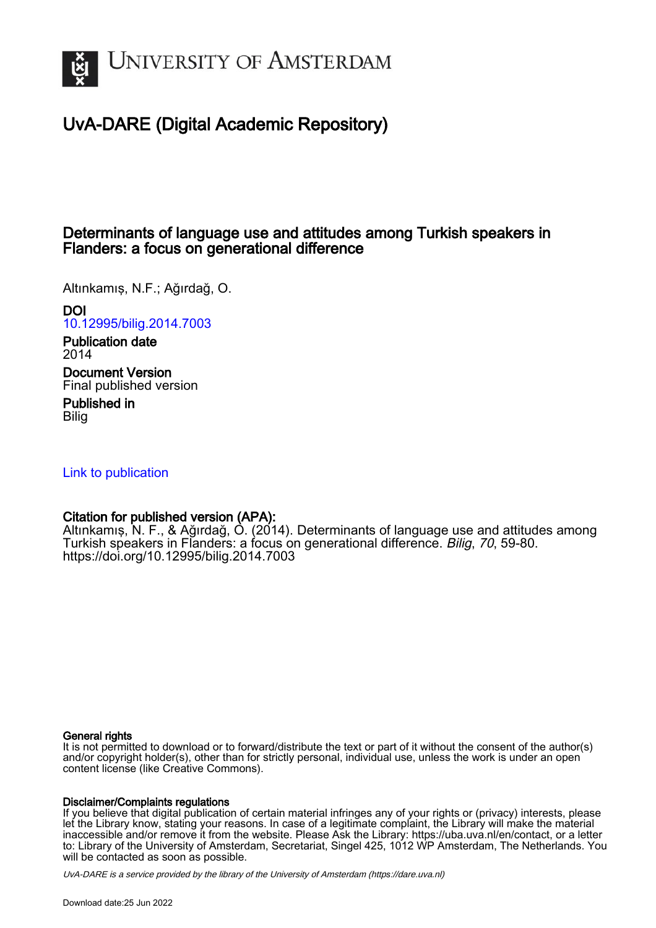

# UvA-DARE (Digital Academic Repository)

## Determinants of language use and attitudes among Turkish speakers in Flanders: a focus on generational difference

Altınkamış, N.F.; Ağırdağ, O.

DOI

[10.12995/bilig.2014.7003](https://doi.org/10.12995/bilig.2014.7003)

Publication date 2014 Document Version

Final published version

Published in **Bilia** 

[Link to publication](https://dare.uva.nl/personal/pure/en/publications/determinants-of-language-use-and-attitudes-among-turkish-speakers-in-flanders-a-focus-on-generational-difference(f1318cfe-80cd-4ac4-ad10-9a7abef1b887).html)

## Citation for published version (APA):

Altınkamış, N. F., & Ağırdağ, O. (2014). Determinants of language use and attitudes among Turkish speakers in Flanders: a focus on generational difference. Bilig, 70, 59-80. <https://doi.org/10.12995/bilig.2014.7003>

## General rights

It is not permitted to download or to forward/distribute the text or part of it without the consent of the author(s) and/or copyright holder(s), other than for strictly personal, individual use, unless the work is under an open content license (like Creative Commons).

## Disclaimer/Complaints regulations

If you believe that digital publication of certain material infringes any of your rights or (privacy) interests, please let the Library know, stating your reasons. In case of a legitimate complaint, the Library will make the material inaccessible and/or remove it from the website. Please Ask the Library: https://uba.uva.nl/en/contact, or a letter to: Library of the University of Amsterdam, Secretariat, Singel 425, 1012 WP Amsterdam, The Netherlands. You will be contacted as soon as possible.

UvA-DARE is a service provided by the library of the University of Amsterdam (http*s*://dare.uva.nl)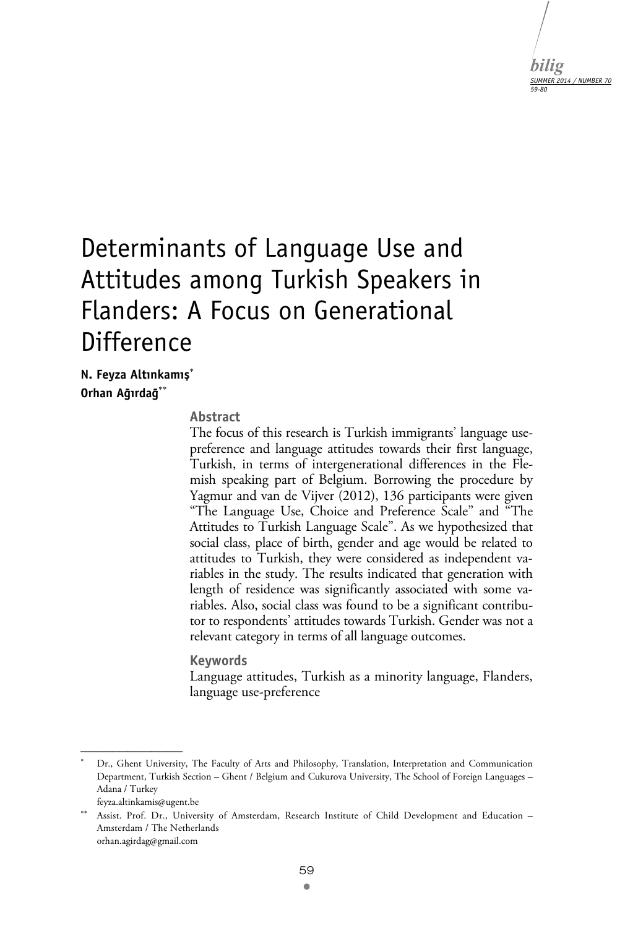

# Determinants of Language Use and Attitudes among Turkish Speakers in Flanders: A Focus on Generational Difference

**N. Feyza Altınkamış Orhan Ağırdağ**

#### **Abstract**

The focus of this research is Turkish immigrants' language usepreference and language attitudes towards their first language, Turkish, in terms of intergenerational differences in the Flemish speaking part of Belgium. Borrowing the procedure by Yagmur and van de Vijver (2012), 136 participants were given "The Language Use, Choice and Preference Scale" and "The Attitudes to Turkish Language Scale". As we hypothesized that social class, place of birth, gender and age would be related to attitudes to Turkish, they were considered as independent variables in the study. The results indicated that generation with length of residence was significantly associated with some variables. Also, social class was found to be a significant contributor to respondents' attitudes towards Turkish. Gender was not a relevant category in terms of all language outcomes.

#### **Keywords**

Language attitudes, Turkish as a minority language, Flanders, language use-preference

 $\mathcal{L}_\text{max}$ 

<sup>.</sup>  Dr., Ghent University, The Faculty of Arts and Philosophy, Translation, Interpretation and Communication Department, Turkish Section – Ghent / Belgium and Cukurova University, The School of Foreign Languages – Adana / Turkey

feyza.altinkamis@ugent.be

Assist. Prof. Dr., University of Amsterdam, Research Institute of Child Development and Education – Amsterdam / The Netherlands orhan.agirdag@gmail.com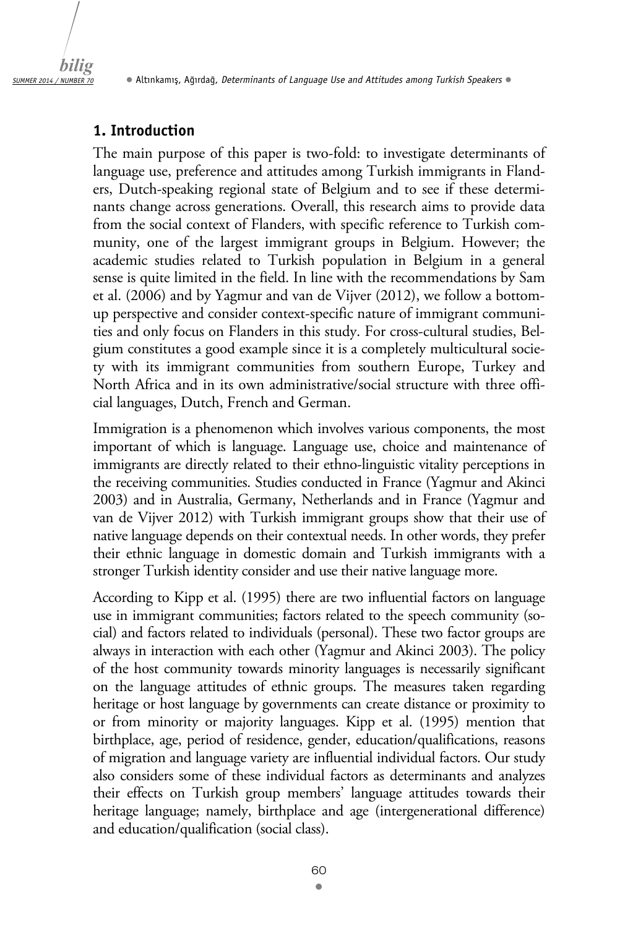

## **1. Introduction**

The main purpose of this paper is two-fold: to investigate determinants of language use, preference and attitudes among Turkish immigrants in Flanders, Dutch-speaking regional state of Belgium and to see if these determinants change across generations. Overall, this research aims to provide data from the social context of Flanders, with specific reference to Turkish community, one of the largest immigrant groups in Belgium. However; the academic studies related to Turkish population in Belgium in a general sense is quite limited in the field. In line with the recommendations by Sam et al. (2006) and by Yagmur and van de Vijver (2012), we follow a bottomup perspective and consider context-specific nature of immigrant communities and only focus on Flanders in this study. For cross-cultural studies, Belgium constitutes a good example since it is a completely multicultural society with its immigrant communities from southern Europe, Turkey and North Africa and in its own administrative/social structure with three official languages, Dutch, French and German.

Immigration is a phenomenon which involves various components, the most important of which is language. Language use, choice and maintenance of immigrants are directly related to their ethno-linguistic vitality perceptions in the receiving communities. Studies conducted in France (Yagmur and Akinci 2003) and in Australia, Germany, Netherlands and in France (Yagmur and van de Vijver 2012) with Turkish immigrant groups show that their use of native language depends on their contextual needs. In other words, they prefer their ethnic language in domestic domain and Turkish immigrants with a stronger Turkish identity consider and use their native language more.

According to Kipp et al. (1995) there are two influential factors on language use in immigrant communities; factors related to the speech community (social) and factors related to individuals (personal). These two factor groups are always in interaction with each other (Yagmur and Akinci 2003). The policy of the host community towards minority languages is necessarily significant on the language attitudes of ethnic groups. The measures taken regarding heritage or host language by governments can create distance or proximity to or from minority or majority languages. Kipp et al. (1995) mention that birthplace, age, period of residence, gender, education/qualifications, reasons of migration and language variety are influential individual factors. Our study also considers some of these individual factors as determinants and analyzes their effects on Turkish group members' language attitudes towards their heritage language; namely, birthplace and age (intergenerational difference) and education/qualification (social class).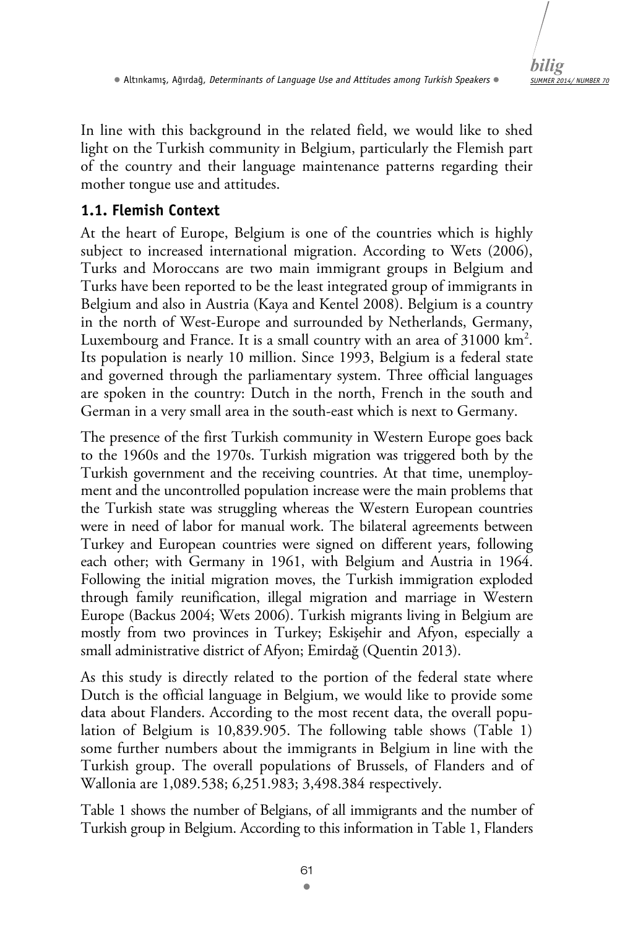

In line with this background in the related field, we would like to shed light on the Turkish community in Belgium, particularly the Flemish part of the country and their language maintenance patterns regarding their mother tongue use and attitudes.

## **1.1. Flemish Context**

At the heart of Europe, Belgium is one of the countries which is highly subject to increased international migration. According to Wets (2006), Turks and Moroccans are two main immigrant groups in Belgium and Turks have been reported to be the least integrated group of immigrants in Belgium and also in Austria (Kaya and Kentel 2008). Belgium is a country in the north of West-Europe and surrounded by Netherlands, Germany, Luxembourg and France. It is a small country with an area of  $31000 \text{ km}^2$ . Its population is nearly 10 million. Since 1993, Belgium is a federal state and governed through the parliamentary system. Three official languages are spoken in the country: Dutch in the north, French in the south and German in a very small area in the south-east which is next to Germany.

The presence of the first Turkish community in Western Europe goes back to the 1960s and the 1970s. Turkish migration was triggered both by the Turkish government and the receiving countries. At that time, unemployment and the uncontrolled population increase were the main problems that the Turkish state was struggling whereas the Western European countries were in need of labor for manual work. The bilateral agreements between Turkey and European countries were signed on different years, following each other; with Germany in 1961, with Belgium and Austria in 1964. Following the initial migration moves, the Turkish immigration exploded through family reunification, illegal migration and marriage in Western Europe (Backus 2004; Wets 2006). Turkish migrants living in Belgium are mostly from two provinces in Turkey; Eskişehir and Afyon, especially a small administrative district of Afyon; Emirdağ (Quentin 2013).

As this study is directly related to the portion of the federal state where Dutch is the official language in Belgium, we would like to provide some data about Flanders. According to the most recent data, the overall population of Belgium is 10,839.905. The following table shows (Table 1) some further numbers about the immigrants in Belgium in line with the Turkish group. The overall populations of Brussels, of Flanders and of Wallonia are 1,089.538; 6,251.983; 3,498.384 respectively.

Table 1 shows the number of Belgians, of all immigrants and the number of Turkish group in Belgium. According to this information in Table 1, Flanders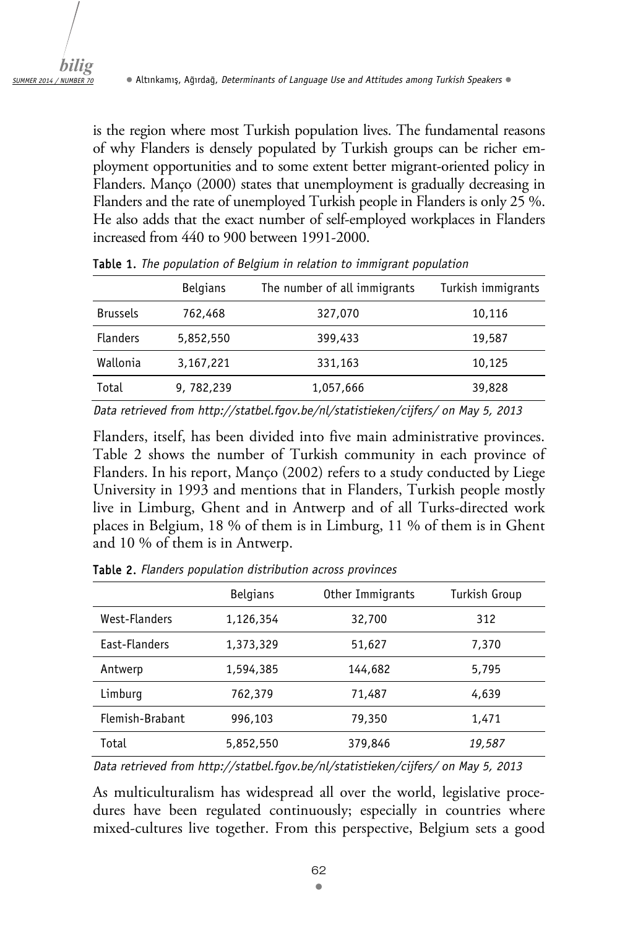is the region where most Turkish population lives. The fundamental reasons of why Flanders is densely populated by Turkish groups can be richer employment opportunities and to some extent better migrant-oriented policy in Flanders. Manço (2000) states that unemployment is gradually decreasing in Flanders and the rate of unemployed Turkish people in Flanders is only 25 %. He also adds that the exact number of self-employed workplaces in Flanders increased from 440 to 900 between 1991-2000.

|                 | <b>Belgians</b> | The number of all immigrants | Turkish immigrants |
|-----------------|-----------------|------------------------------|--------------------|
| <b>Brussels</b> | 762,468         | 327,070                      | 10,116             |
| <b>Flanders</b> | 5,852,550       | 399,433                      | 19,587             |
| Wallonia        | 3,167,221       | 331,163                      | 10,125             |
| Total           | 9, 782, 239     | 1,057,666                    | 39,828             |

Table 1. *The population of Belgium in relation to immigrant population*

*Data retrieved from http://statbel.fgov.be/nl/statistieken/cijfers/ on May 5, 2013* 

Flanders, itself, has been divided into five main administrative provinces. Table 2 shows the number of Turkish community in each province of Flanders. In his report, Manço (2002) refers to a study conducted by Liege University in 1993 and mentions that in Flanders, Turkish people mostly live in Limburg, Ghent and in Antwerp and of all Turks-directed work places in Belgium, 18 % of them is in Limburg, 11 % of them is in Ghent and 10 % of them is in Antwerp.

|                 | <b>Belgians</b> | Other Immigrants | Turkish Group |
|-----------------|-----------------|------------------|---------------|
| West-Flanders   | 1,126,354       | 32,700           | 312           |
| East-Flanders   | 1,373,329       | 51,627           | 7,370         |
| Antwerp         | 1,594,385       | 144,682          | 5,795         |
| Limburg         | 762,379         | 71,487           | 4,639         |
| Flemish-Brabant | 996,103         | 79,350           | 1.471         |
| Total           | 5,852,550       | 379,846          | 19,587        |

Table 2. *Flanders population distribution across provinces* 

*Data retrieved from http://statbel.fgov.be/nl/statistieken/cijfers/ on May 5, 2013* 

As multiculturalism has widespread all over the world, legislative procedures have been regulated continuously; especially in countries where mixed-cultures live together. From this perspective, Belgium sets a good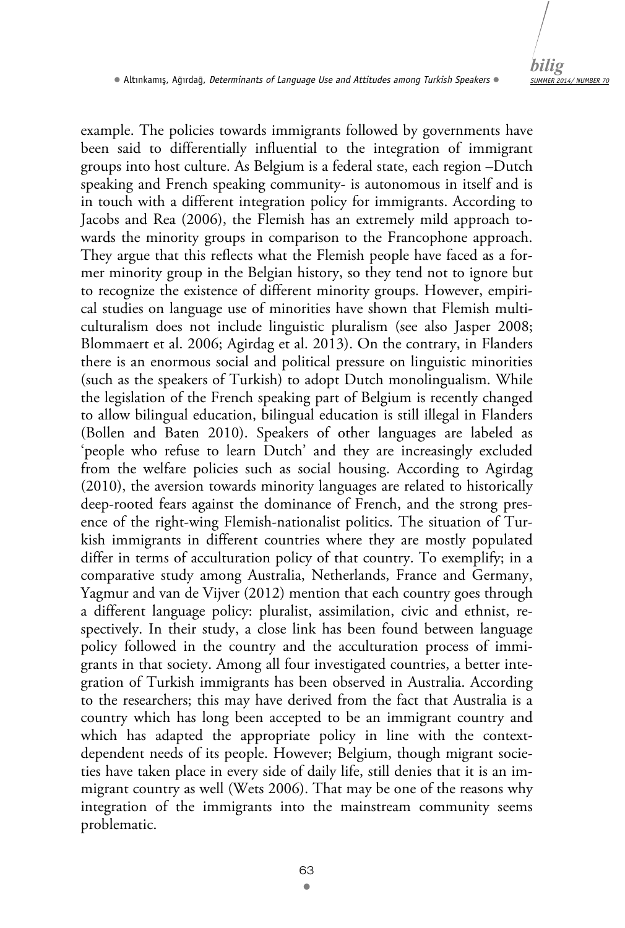

example. The policies towards immigrants followed by governments have been said to differentially influential to the integration of immigrant groups into host culture. As Belgium is a federal state, each region –Dutch speaking and French speaking community- is autonomous in itself and is in touch with a different integration policy for immigrants. According to Jacobs and Rea (2006), the Flemish has an extremely mild approach towards the minority groups in comparison to the Francophone approach. They argue that this reflects what the Flemish people have faced as a former minority group in the Belgian history, so they tend not to ignore but to recognize the existence of different minority groups. However, empirical studies on language use of minorities have shown that Flemish multiculturalism does not include linguistic pluralism (see also Jasper 2008; Blommaert et al. 2006; Agirdag et al. 2013). On the contrary, in Flanders there is an enormous social and political pressure on linguistic minorities (such as the speakers of Turkish) to adopt Dutch monolingualism. While the legislation of the French speaking part of Belgium is recently changed to allow bilingual education, bilingual education is still illegal in Flanders (Bollen and Baten 2010). Speakers of other languages are labeled as 'people who refuse to learn Dutch' and they are increasingly excluded from the welfare policies such as social housing. According to Agirdag (2010), the aversion towards minority languages are related to historically deep-rooted fears against the dominance of French, and the strong presence of the right-wing Flemish-nationalist politics. The situation of Turkish immigrants in different countries where they are mostly populated differ in terms of acculturation policy of that country. To exemplify; in a comparative study among Australia, Netherlands, France and Germany, Yagmur and van de Vijver (2012) mention that each country goes through a different language policy: pluralist, assimilation, civic and ethnist, respectively. In their study, a close link has been found between language policy followed in the country and the acculturation process of immigrants in that society. Among all four investigated countries, a better integration of Turkish immigrants has been observed in Australia. According to the researchers; this may have derived from the fact that Australia is a country which has long been accepted to be an immigrant country and which has adapted the appropriate policy in line with the contextdependent needs of its people. However; Belgium, though migrant societies have taken place in every side of daily life, still denies that it is an immigrant country as well (Wets 2006). That may be one of the reasons why integration of the immigrants into the mainstream community seems problematic.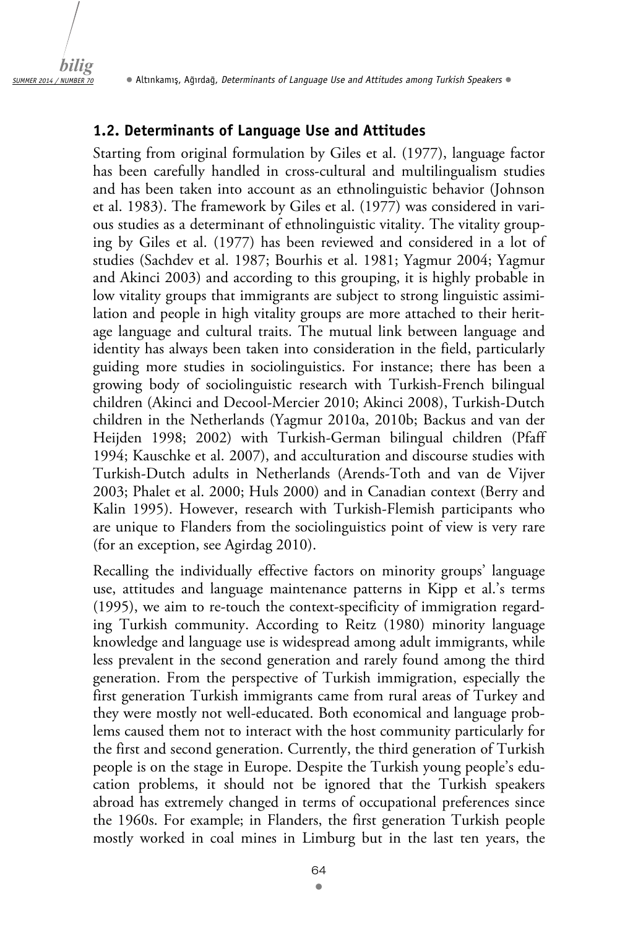#### **1.2. Determinants of Language Use and Attitudes**

Starting from original formulation by Giles et al. (1977), language factor has been carefully handled in cross-cultural and multilingualism studies and has been taken into account as an ethnolinguistic behavior (Johnson et al. 1983). The framework by Giles et al. (1977) was considered in various studies as a determinant of ethnolinguistic vitality. The vitality grouping by Giles et al. (1977) has been reviewed and considered in a lot of studies (Sachdev et al. 1987; Bourhis et al. 1981; Yagmur 2004; Yagmur and Akinci 2003) and according to this grouping, it is highly probable in low vitality groups that immigrants are subject to strong linguistic assimilation and people in high vitality groups are more attached to their heritage language and cultural traits. The mutual link between language and identity has always been taken into consideration in the field, particularly guiding more studies in sociolinguistics. For instance; there has been a growing body of sociolinguistic research with Turkish-French bilingual children (Akinci and Decool-Mercier 2010; Akinci 2008), Turkish-Dutch children in the Netherlands (Yagmur 2010a, 2010b; Backus and van der Heijden 1998; 2002) with Turkish-German bilingual children (Pfaff 1994; Kauschke et al. 2007), and acculturation and discourse studies with Turkish-Dutch adults in Netherlands (Arends-Toth and van de Vijver 2003; Phalet et al. 2000; Huls 2000) and in Canadian context (Berry and Kalin 1995). However, research with Turkish-Flemish participants who are unique to Flanders from the sociolinguistics point of view is very rare (for an exception, see Agirdag 2010).

Recalling the individually effective factors on minority groups' language use, attitudes and language maintenance patterns in Kipp et al.'s terms (1995), we aim to re-touch the context-specificity of immigration regarding Turkish community. According to Reitz (1980) minority language knowledge and language use is widespread among adult immigrants, while less prevalent in the second generation and rarely found among the third generation. From the perspective of Turkish immigration, especially the first generation Turkish immigrants came from rural areas of Turkey and they were mostly not well-educated. Both economical and language problems caused them not to interact with the host community particularly for the first and second generation. Currently, the third generation of Turkish people is on the stage in Europe. Despite the Turkish young people's education problems, it should not be ignored that the Turkish speakers abroad has extremely changed in terms of occupational preferences since the 1960s. For example; in Flanders, the first generation Turkish people mostly worked in coal mines in Limburg but in the last ten years, the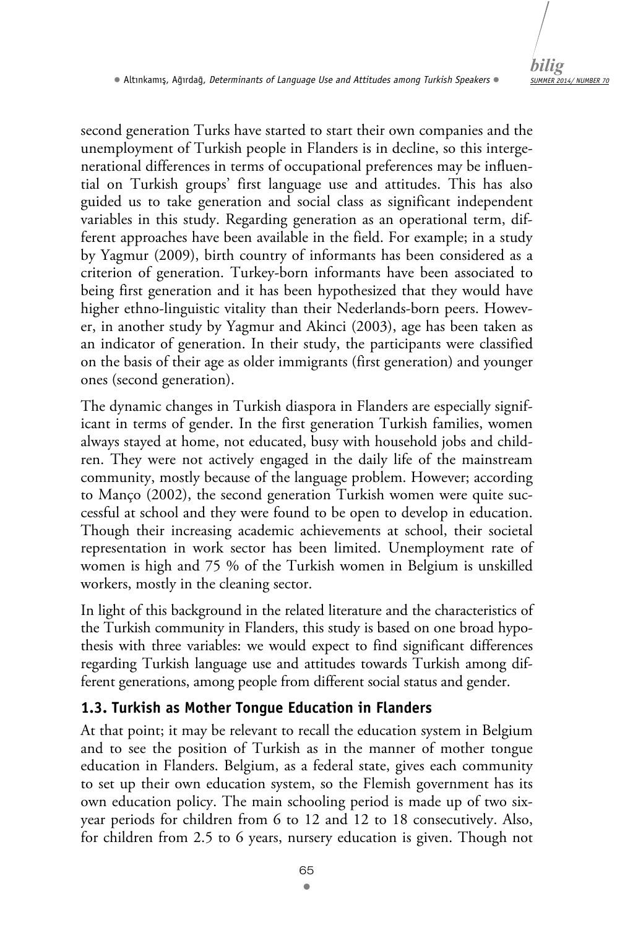second generation Turks have started to start their own companies and the unemployment of Turkish people in Flanders is in decline, so this intergenerational differences in terms of occupational preferences may be influential on Turkish groups' first language use and attitudes. This has also guided us to take generation and social class as significant independent variables in this study. Regarding generation as an operational term, different approaches have been available in the field. For example; in a study by Yagmur (2009), birth country of informants has been considered as a criterion of generation. Turkey-born informants have been associated to being first generation and it has been hypothesized that they would have higher ethno-linguistic vitality than their Nederlands-born peers. However, in another study by Yagmur and Akinci (2003), age has been taken as an indicator of generation. In their study, the participants were classified on the basis of their age as older immigrants (first generation) and younger ones (second generation).

The dynamic changes in Turkish diaspora in Flanders are especially significant in terms of gender. In the first generation Turkish families, women always stayed at home, not educated, busy with household jobs and children. They were not actively engaged in the daily life of the mainstream community, mostly because of the language problem. However; according to Manço (2002), the second generation Turkish women were quite successful at school and they were found to be open to develop in education. Though their increasing academic achievements at school, their societal representation in work sector has been limited. Unemployment rate of women is high and 75 % of the Turkish women in Belgium is unskilled workers, mostly in the cleaning sector.

In light of this background in the related literature and the characteristics of the Turkish community in Flanders, this study is based on one broad hypothesis with three variables: we would expect to find significant differences regarding Turkish language use and attitudes towards Turkish among different generations, among people from different social status and gender.

## **1.3. Turkish as Mother Tongue Education in Flanders**

At that point; it may be relevant to recall the education system in Belgium and to see the position of Turkish as in the manner of mother tongue education in Flanders. Belgium, as a federal state, gives each community to set up their own education system, so the Flemish government has its own education policy. The main schooling period is made up of two sixyear periods for children from 6 to 12 and 12 to 18 consecutively. Also, for children from 2.5 to 6 years, nursery education is given. Though not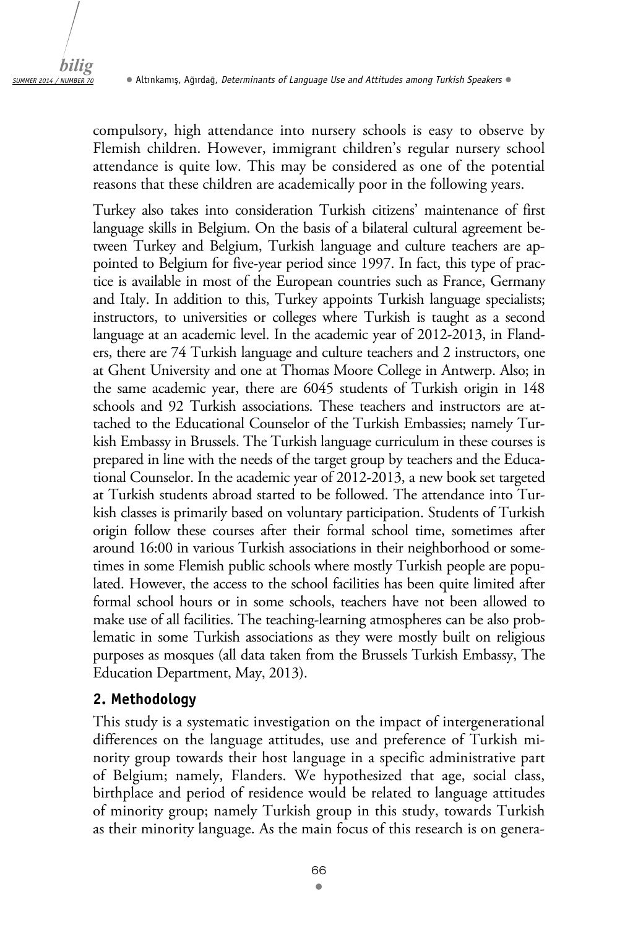compulsory, high attendance into nursery schools is easy to observe by Flemish children. However, immigrant children's regular nursery school attendance is quite low. This may be considered as one of the potential reasons that these children are academically poor in the following years.

Turkey also takes into consideration Turkish citizens' maintenance of first language skills in Belgium. On the basis of a bilateral cultural agreement between Turkey and Belgium, Turkish language and culture teachers are appointed to Belgium for five-year period since 1997. In fact, this type of practice is available in most of the European countries such as France, Germany and Italy. In addition to this, Turkey appoints Turkish language specialists; instructors, to universities or colleges where Turkish is taught as a second language at an academic level. In the academic year of 2012-2013, in Flanders, there are 74 Turkish language and culture teachers and 2 instructors, one at Ghent University and one at Thomas Moore College in Antwerp. Also; in the same academic year, there are 6045 students of Turkish origin in 148 schools and 92 Turkish associations. These teachers and instructors are attached to the Educational Counselor of the Turkish Embassies; namely Turkish Embassy in Brussels. The Turkish language curriculum in these courses is prepared in line with the needs of the target group by teachers and the Educational Counselor. In the academic year of 2012-2013, a new book set targeted at Turkish students abroad started to be followed. The attendance into Turkish classes is primarily based on voluntary participation. Students of Turkish origin follow these courses after their formal school time, sometimes after around 16:00 in various Turkish associations in their neighborhood or sometimes in some Flemish public schools where mostly Turkish people are populated. However, the access to the school facilities has been quite limited after formal school hours or in some schools, teachers have not been allowed to make use of all facilities. The teaching-learning atmospheres can be also problematic in some Turkish associations as they were mostly built on religious purposes as mosques (all data taken from the Brussels Turkish Embassy, The Education Department, May, 2013).

### **2. Methodology**

This study is a systematic investigation on the impact of intergenerational differences on the language attitudes, use and preference of Turkish minority group towards their host language in a specific administrative part of Belgium; namely, Flanders. We hypothesized that age, social class, birthplace and period of residence would be related to language attitudes of minority group; namely Turkish group in this study, towards Turkish as their minority language. As the main focus of this research is on genera-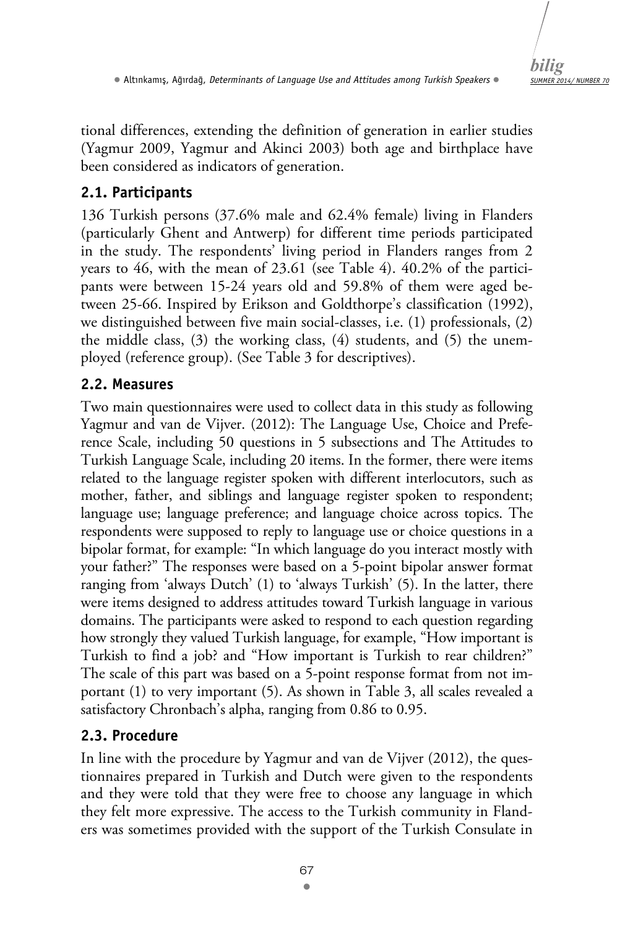*SUMMER 2014/ NUMBER 70 bilig* 

tional differences, extending the definition of generation in earlier studies (Yagmur 2009, Yagmur and Akinci 2003) both age and birthplace have been considered as indicators of generation.

## **2.1. Participants**

136 Turkish persons (37.6% male and 62.4% female) living in Flanders (particularly Ghent and Antwerp) for different time periods participated in the study. The respondents' living period in Flanders ranges from 2 years to 46, with the mean of 23.61 (see Table 4). 40.2% of the participants were between 15-24 years old and 59.8% of them were aged between 25-66. Inspired by Erikson and Goldthorpe's classification (1992), we distinguished between five main social-classes, i.e. (1) professionals, (2) the middle class, (3) the working class, (4) students, and (5) the unemployed (reference group). (See Table 3 for descriptives).

## **2.2. Measures**

Two main questionnaires were used to collect data in this study as following Yagmur and van de Vijver. (2012): The Language Use, Choice and Preference Scale, including 50 questions in 5 subsections and The Attitudes to Turkish Language Scale, including 20 items. In the former, there were items related to the language register spoken with different interlocutors, such as mother, father, and siblings and language register spoken to respondent; language use; language preference; and language choice across topics. The respondents were supposed to reply to language use or choice questions in a bipolar format, for example: "In which language do you interact mostly with your father?" The responses were based on a 5-point bipolar answer format ranging from 'always Dutch' (1) to 'always Turkish' (5). In the latter, there were items designed to address attitudes toward Turkish language in various domains. The participants were asked to respond to each question regarding how strongly they valued Turkish language, for example, "How important is Turkish to find a job? and "How important is Turkish to rear children?" The scale of this part was based on a 5-point response format from not important (1) to very important (5). As shown in Table 3, all scales revealed a satisfactory Chronbach's alpha, ranging from 0.86 to 0.95.

## **2.3. Procedure**

In line with the procedure by Yagmur and van de Vijver (2012), the questionnaires prepared in Turkish and Dutch were given to the respondents and they were told that they were free to choose any language in which they felt more expressive. The access to the Turkish community in Flanders was sometimes provided with the support of the Turkish Consulate in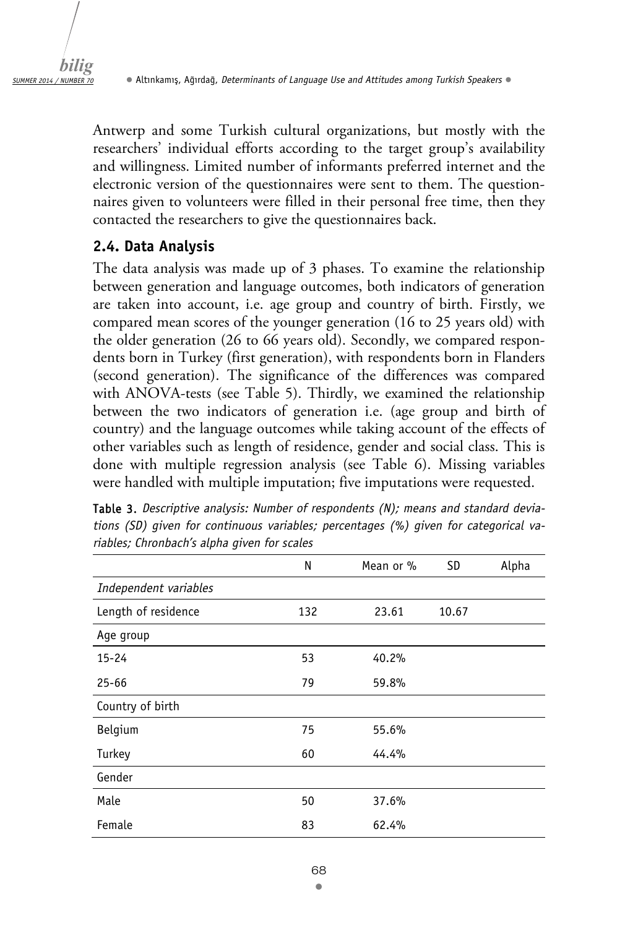Antwerp and some Turkish cultural organizations, but mostly with the researchers' individual efforts according to the target group's availability and willingness. Limited number of informants preferred internet and the electronic version of the questionnaires were sent to them. The questionnaires given to volunteers were filled in their personal free time, then they contacted the researchers to give the questionnaires back.

### **2.4. Data Analysis**

The data analysis was made up of 3 phases. To examine the relationship between generation and language outcomes, both indicators of generation are taken into account, i.e. age group and country of birth. Firstly, we compared mean scores of the younger generation (16 to 25 years old) with the older generation (26 to 66 years old). Secondly, we compared respondents born in Turkey (first generation), with respondents born in Flanders (second generation). The significance of the differences was compared with ANOVA-tests (see Table 5). Thirdly, we examined the relationship between the two indicators of generation i.e. (age group and birth of country) and the language outcomes while taking account of the effects of other variables such as length of residence, gender and social class. This is done with multiple regression analysis (see Table 6). Missing variables were handled with multiple imputation; five imputations were requested.

|                       | N   | Mean or % | <b>SD</b> | Alpha |
|-----------------------|-----|-----------|-----------|-------|
| Independent variables |     |           |           |       |
| Length of residence   | 132 | 23.61     | 10.67     |       |
| Age group             |     |           |           |       |
| $15 - 24$             | 53  | 40.2%     |           |       |
| $25 - 66$             | 79  | 59.8%     |           |       |
| Country of birth      |     |           |           |       |
| Belgium               | 75  | 55.6%     |           |       |
| Turkey                | 60  | 44.4%     |           |       |
| Gender                |     |           |           |       |
| Male                  | 50  | 37.6%     |           |       |
| Female                | 83  | 62.4%     |           |       |

Table 3. *Descriptive analysis: Number of respondents (N); means and standard deviations (SD) given for continuous variables; percentages (%) given for categorical variables; Chronbach's alpha given for scales*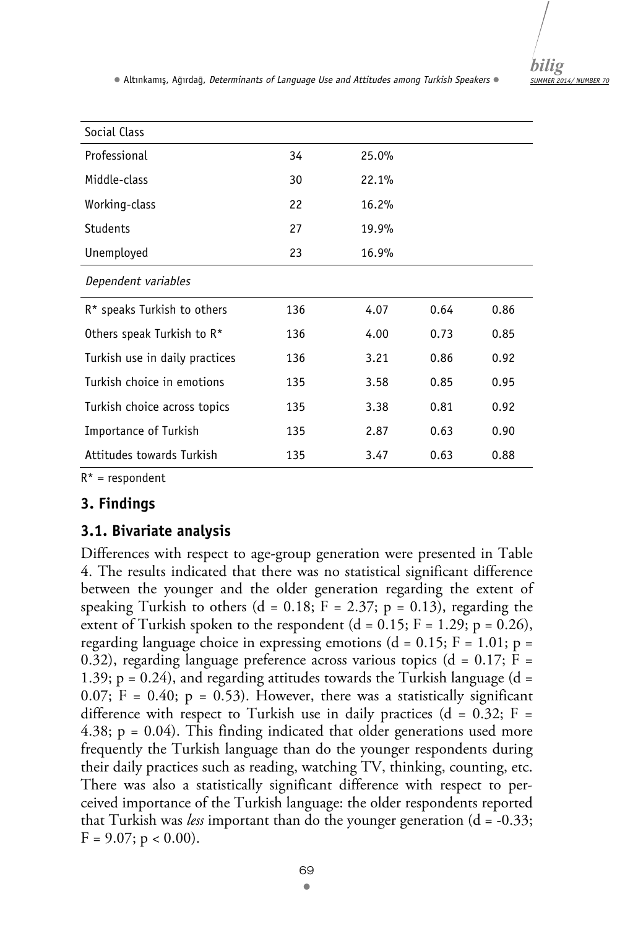| Social Class                           |     |       |      |      |
|----------------------------------------|-----|-------|------|------|
|                                        |     |       |      |      |
| Professional                           | 34  | 25.0% |      |      |
| Middle-class                           | 30  | 22.1% |      |      |
| Working-class                          | 22  | 16.2% |      |      |
| <b>Students</b>                        | 27  | 19.9% |      |      |
| Unemployed                             | 23  | 16.9% |      |      |
| Dependent variables                    |     |       |      |      |
| R* speaks Turkish to others            | 136 | 4.07  | 0.64 | 0.86 |
| Others speak Turkish to R <sup>*</sup> | 136 | 4.00  | 0.73 | 0.85 |
| Turkish use in daily practices         | 136 | 3.21  | 0.86 | 0.92 |
| Turkish choice in emotions             | 135 | 3.58  | 0.85 | 0.95 |
| Turkish choice across topics           | 135 | 3.38  | 0.81 | 0.92 |
| Importance of Turkish                  | 135 | 2.87  | 0.63 | 0.90 |
| Attitudes towards Turkish              | 135 | 3.47  | 0.63 | 0.88 |

 $R^*$  = respondent

## **3. Findings**

## **3.1. Bivariate analysis**

Differences with respect to age-group generation were presented in Table 4. The results indicated that there was no statistical significant difference between the younger and the older generation regarding the extent of speaking Turkish to others  $(d = 0.18; F = 2.37; p = 0.13)$ , regarding the extent of Turkish spoken to the respondent  $(d = 0.15; F = 1.29; p = 0.26)$ , regarding language choice in expressing emotions ( $d = 0.15$ ;  $F = 1.01$ ;  $p =$ 0.32), regarding language preference across various topics ( $d = 0.17$ ;  $F =$ 1.39;  $p = 0.24$ ), and regarding attitudes towards the Turkish language (d = 0.07;  $\bar{F} = 0.40$ ;  $p = 0.53$ ). However, there was a statistically significant difference with respect to Turkish use in daily practices ( $d = 0.32$ ; F = 4.38;  $p = 0.04$ ). This finding indicated that older generations used more frequently the Turkish language than do the younger respondents during their daily practices such as reading, watching TV, thinking, counting, etc. There was also a statistically significant difference with respect to perceived importance of the Turkish language: the older respondents reported that Turkish was *less* important than do the younger generation (d = -0.33;  $F = 9.07$ ;  $p < 0.00$ ).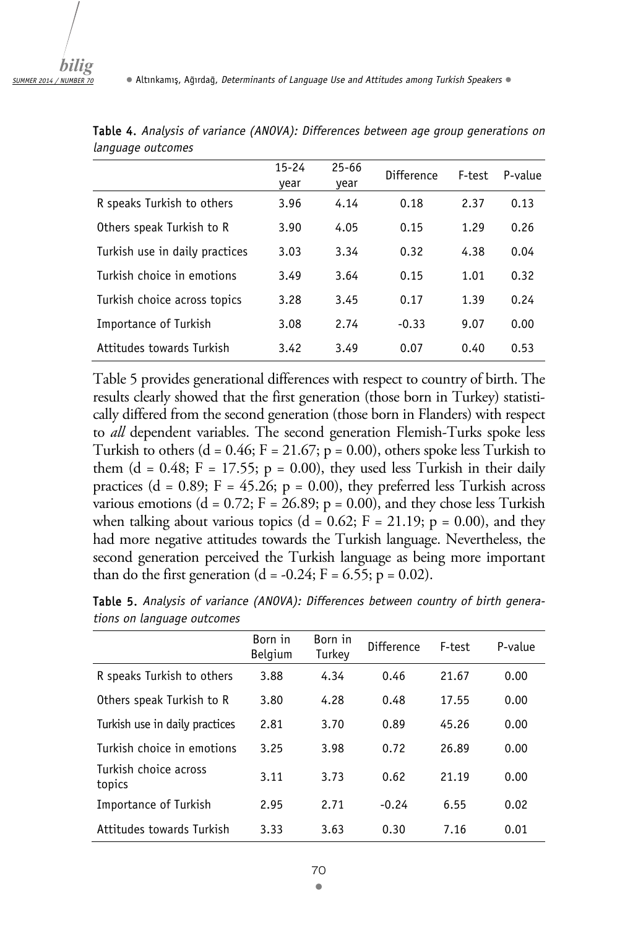|                                | $15 - 24$<br>year | $25 - 66$<br>year | Difference | F-test | P-value |
|--------------------------------|-------------------|-------------------|------------|--------|---------|
| R speaks Turkish to others     | 3.96              | 4.14              | 0.18       | 2.37   | 0.13    |
| Others speak Turkish to R      | 3.90              | 4.05              | 0.15       | 1.29   | 0.26    |
| Turkish use in daily practices | 3.03              | 3.34              | 0.32       | 4.38   | 0.04    |
| Turkish choice in emotions     | 3.49              | 3.64              | 0.15       | 1.01   | 0.32    |
| Turkish choice across topics   | 3.28              | 3.45              | 0.17       | 1.39   | 0.24    |
| Importance of Turkish          | 3.08              | 2.74              | $-0.33$    | 9.07   | 0.00    |
| Attitudes towards Turkish      | 3.42              | 3.49              | 0.07       | 0.40   | 0.53    |

Table 4. *Analysis of variance (ANOVA): Differences between age group generations on language outcomes*

Table 5 provides generational differences with respect to country of birth. The results clearly showed that the first generation (those born in Turkey) statistically differed from the second generation (those born in Flanders) with respect to *all* dependent variables. The second generation Flemish-Turks spoke less Turkish to others (d =  $0.46$ ; F =  $21.67$ ; p =  $0.00$ ), others spoke less Turkish to them (d = 0.48;  $F = 17.55$ ;  $p = 0.00$ ), they used less Turkish in their daily practices (d = 0.89;  $F = 45.26$ ; p = 0.00), they preferred less Turkish across various emotions (d = 0.72;  $F = 26.89$ ; p = 0.00), and they chose less Turkish when talking about various topics (d =  $0.62$ ; F =  $21.19$ ; p = 0.00), and they had more negative attitudes towards the Turkish language. Nevertheless, the second generation perceived the Turkish language as being more important than do the first generation  $(d = -0.24; F = 6.55; p = 0.02)$ .

|                                 | Born in<br><b>Belgium</b> | Born in<br>Turkey | Difference | F-test | P-value |
|---------------------------------|---------------------------|-------------------|------------|--------|---------|
| R speaks Turkish to others      | 3.88                      | 4.34              | 0.46       | 21.67  | 0.00    |
| Others speak Turkish to R       | 3.80                      | 4.28              | 0.48       | 17.55  | 0.00    |
| Turkish use in daily practices  | 2.81                      | 3.70              | 0.89       | 45.26  | 0.00    |
| Turkish choice in emotions      | 3.25                      | 3.98              | 0.72       | 26.89  | 0.00    |
| Turkish choice across<br>topics | 3.11                      | 3.73              | 0.62       | 21.19  | 0.00    |
| Importance of Turkish           | 2.95                      | 2.71              | $-0.24$    | 6.55   | 0.02    |
| Attitudes towards Turkish       | 3.33                      | 3.63              | 0.30       | 7.16   | 0.01    |

Table 5. *Analysis of variance (ANOVA): Differences between country of birth generations on language outcomes*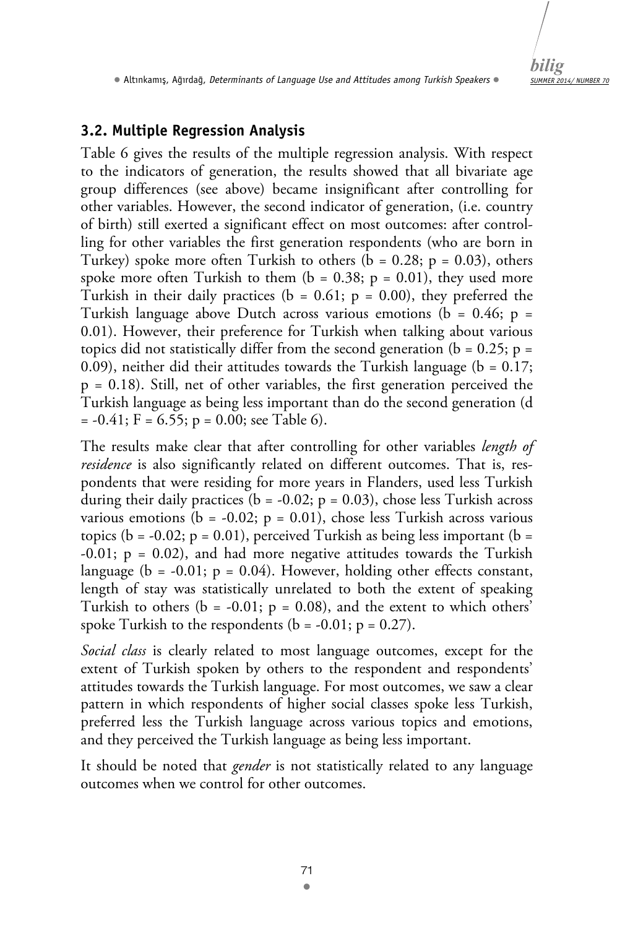*SUMMER 2014/ NUMBER 70 bilig* 

• Altınkamış, Ağırdağ, *Determinants of Language Use and Attitudes among Turkish Speakers* •

## **3.2. Multiple Regression Analysis**

Table 6 gives the results of the multiple regression analysis. With respect to the indicators of generation, the results showed that all bivariate age group differences (see above) became insignificant after controlling for other variables. However, the second indicator of generation, (i.e. country of birth) still exerted a significant effect on most outcomes: after controlling for other variables the first generation respondents (who are born in Turkey) spoke more often Turkish to others  $(b = 0.28; p = 0.03)$ , others spoke more often Turkish to them  $(b = 0.38; p = 0.01)$ , they used more Turkish in their daily practices ( $b = 0.61$ ;  $p = 0.00$ ), they preferred the Turkish language above Dutch across various emotions ( $b = 0.46$ ;  $p =$ 0.01). However, their preference for Turkish when talking about various topics did not statistically differ from the second generation ( $b = 0.25$ ;  $p =$ 0.09), neither did their attitudes towards the Turkish language ( $b = 0.17$ ; p = 0.18). Still, net of other variables, the first generation perceived the Turkish language as being less important than do the second generation (d  $= -0.41$ ; F = 6.55; p = 0.00; see Table 6).

The results make clear that after controlling for other variables *length of residence* is also significantly related on different outcomes. That is, respondents that were residing for more years in Flanders, used less Turkish during their daily practices ( $b = -0.02$ ;  $p = 0.03$ ), chose less Turkish across various emotions ( $b = -0.02$ ;  $p = 0.01$ ), chose less Turkish across various topics (b =  $-0.02$ ; p = 0.01), perceived Turkish as being less important (b =  $-0.01$ ;  $p = 0.02$ ), and had more negative attitudes towards the Turkish language ( $b = -0.01$ ;  $p = 0.04$ ). However, holding other effects constant, length of stay was statistically unrelated to both the extent of speaking Turkish to others ( $b = -0.01$ ;  $p = 0.08$ ), and the extent to which others' spoke Turkish to the respondents ( $b = -0.01$ ;  $p = 0.27$ ).

*Social class* is clearly related to most language outcomes, except for the extent of Turkish spoken by others to the respondent and respondents' attitudes towards the Turkish language. For most outcomes, we saw a clear pattern in which respondents of higher social classes spoke less Turkish, preferred less the Turkish language across various topics and emotions, and they perceived the Turkish language as being less important.

It should be noted that *gender* is not statistically related to any language outcomes when we control for other outcomes.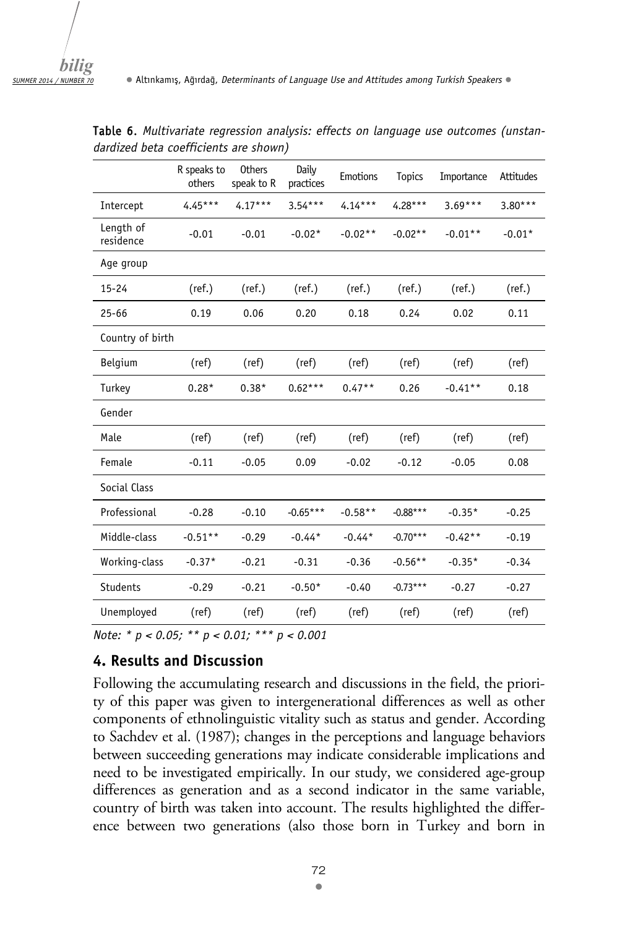|                        | R speaks to<br>others | <b>Others</b><br>speak to R | Daily<br>practices | Emotions  | <b>Topics</b> | Importance | Attitudes |
|------------------------|-----------------------|-----------------------------|--------------------|-----------|---------------|------------|-----------|
| Intercept              | $4.45***$             | $4.17***$                   | $3.54***$          | $4.14***$ | $4.28***$     | $3.69***$  | $3.80***$ |
| Length of<br>residence | $-0.01$               | $-0.01$                     | $-0.02*$           | $-0.02**$ | $-0.02**$     | $-0.01**$  | $-0.01*$  |
| Age group              |                       |                             |                    |           |               |            |           |
| $15 - 24$              | (ref.)                | (ref.)                      | (ref.)             | (ref.)    | (ref.)        | (ref.)     | (ref.)    |
| $25 - 66$              | 0.19                  | 0.06                        | 0.20               | 0.18      | 0.24          | 0.02       | 0.11      |
| Country of birth       |                       |                             |                    |           |               |            |           |
| Belgium                | (ref)                 | (ref)                       | (ref)              | (ref)     | (ref)         | (ref)      | (ref)     |
| Turkey                 | $0.28*$               | $0.38*$                     | $0.62***$          | $0.47**$  | 0.26          | $-0.41**$  | 0.18      |
| Gender                 |                       |                             |                    |           |               |            |           |
| Male                   | (ref)                 | (ref)                       | (ref)              | (ref)     | (ref)         | (ref)      | (ref)     |
| Female                 | $-0.11$               | $-0.05$                     | 0.09               | $-0.02$   | $-0.12$       | $-0.05$    | 0.08      |
| Social Class           |                       |                             |                    |           |               |            |           |
| Professional           | $-0.28$               | $-0.10$                     | $-0.65***$         | $-0.58**$ | $-0.88***$    | $-0.35*$   | $-0.25$   |
| Middle-class           | $-0.51**$             | $-0.29$                     | $-0.44*$           | $-0.44*$  | $-0.70***$    | $-0.42**$  | $-0.19$   |
| Working-class          | $-0.37*$              | $-0.21$                     | $-0.31$            | $-0.36$   | $-0.56**$     | $-0.35*$   | $-0.34$   |
| <b>Students</b>        | $-0.29$               | $-0.21$                     | $-0.50*$           | $-0.40$   | $-0.73***$    | $-0.27$    | $-0.27$   |
| Unemployed             | (ref)                 | (ref)                       | (ref)              | (ref)     | (ref)         | (ref)      | (ref)     |

Table 6. *Multivariate regression analysis: effects on language use outcomes (unstandardized beta coefficients are shown)*

*Note: \* p < 0.05; \*\* p < 0.01; \*\*\* p < 0.001* 

#### **4. Results and Discussion**

Following the accumulating research and discussions in the field, the priority of this paper was given to intergenerational differences as well as other components of ethnolinguistic vitality such as status and gender. According to Sachdev et al. (1987); changes in the perceptions and language behaviors between succeeding generations may indicate considerable implications and need to be investigated empirically. In our study, we considered age-group differences as generation and as a second indicator in the same variable, country of birth was taken into account. The results highlighted the difference between two generations (also those born in Turkey and born in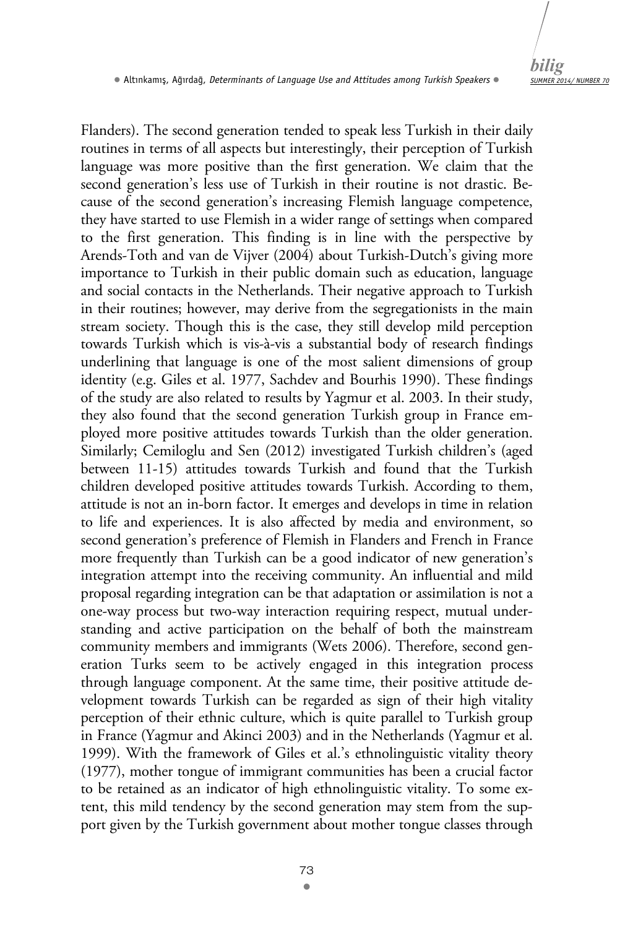

Flanders). The second generation tended to speak less Turkish in their daily routines in terms of all aspects but interestingly, their perception of Turkish language was more positive than the first generation. We claim that the second generation's less use of Turkish in their routine is not drastic. Because of the second generation's increasing Flemish language competence, they have started to use Flemish in a wider range of settings when compared to the first generation. This finding is in line with the perspective by Arends-Toth and van de Vijver (2004) about Turkish-Dutch's giving more importance to Turkish in their public domain such as education, language and social contacts in the Netherlands. Their negative approach to Turkish in their routines; however, may derive from the segregationists in the main stream society. Though this is the case, they still develop mild perception towards Turkish which is vis-à-vis a substantial body of research findings underlining that language is one of the most salient dimensions of group identity (e.g. Giles et al. 1977, Sachdev and Bourhis 1990). These findings of the study are also related to results by Yagmur et al. 2003. In their study, they also found that the second generation Turkish group in France employed more positive attitudes towards Turkish than the older generation. Similarly; Cemiloglu and Sen (2012) investigated Turkish children's (aged between 11-15) attitudes towards Turkish and found that the Turkish children developed positive attitudes towards Turkish. According to them, attitude is not an in-born factor. It emerges and develops in time in relation to life and experiences. It is also affected by media and environment, so second generation's preference of Flemish in Flanders and French in France more frequently than Turkish can be a good indicator of new generation's integration attempt into the receiving community. An influential and mild proposal regarding integration can be that adaptation or assimilation is not a one-way process but two-way interaction requiring respect, mutual understanding and active participation on the behalf of both the mainstream community members and immigrants (Wets 2006). Therefore, second generation Turks seem to be actively engaged in this integration process through language component. At the same time, their positive attitude development towards Turkish can be regarded as sign of their high vitality perception of their ethnic culture, which is quite parallel to Turkish group in France (Yagmur and Akinci 2003) and in the Netherlands (Yagmur et al. 1999). With the framework of Giles et al.'s ethnolinguistic vitality theory (1977), mother tongue of immigrant communities has been a crucial factor to be retained as an indicator of high ethnolinguistic vitality. To some extent, this mild tendency by the second generation may stem from the support given by the Turkish government about mother tongue classes through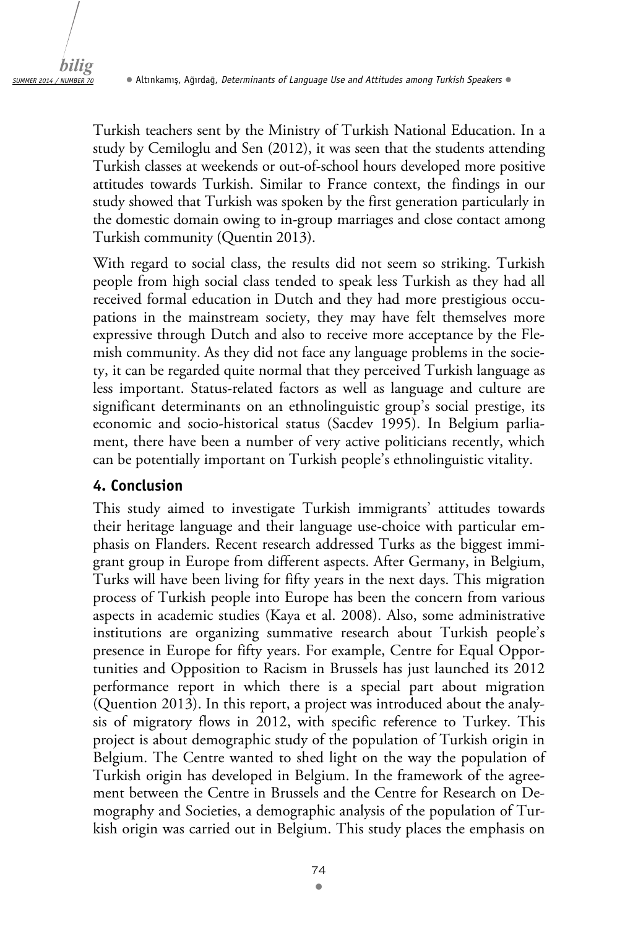Turkish teachers sent by the Ministry of Turkish National Education. In a study by Cemiloglu and Sen (2012), it was seen that the students attending Turkish classes at weekends or out-of-school hours developed more positive attitudes towards Turkish. Similar to France context, the findings in our study showed that Turkish was spoken by the first generation particularly in the domestic domain owing to in-group marriages and close contact among Turkish community (Quentin 2013).

With regard to social class, the results did not seem so striking. Turkish people from high social class tended to speak less Turkish as they had all received formal education in Dutch and they had more prestigious occupations in the mainstream society, they may have felt themselves more expressive through Dutch and also to receive more acceptance by the Flemish community. As they did not face any language problems in the society, it can be regarded quite normal that they perceived Turkish language as less important. Status-related factors as well as language and culture are significant determinants on an ethnolinguistic group's social prestige, its economic and socio-historical status (Sacdev 1995). In Belgium parliament, there have been a number of very active politicians recently, which can be potentially important on Turkish people's ethnolinguistic vitality.

### **4. Conclusion**

This study aimed to investigate Turkish immigrants' attitudes towards their heritage language and their language use-choice with particular emphasis on Flanders. Recent research addressed Turks as the biggest immigrant group in Europe from different aspects. After Germany, in Belgium, Turks will have been living for fifty years in the next days. This migration process of Turkish people into Europe has been the concern from various aspects in academic studies (Kaya et al. 2008). Also, some administrative institutions are organizing summative research about Turkish people's presence in Europe for fifty years. For example, Centre for Equal Opportunities and Opposition to Racism in Brussels has just launched its 2012 performance report in which there is a special part about migration (Quention 2013). In this report, a project was introduced about the analysis of migratory flows in 2012, with specific reference to Turkey. This project is about demographic study of the population of Turkish origin in Belgium. The Centre wanted to shed light on the way the population of Turkish origin has developed in Belgium. In the framework of the agreement between the Centre in Brussels and the Centre for Research on Demography and Societies, a demographic analysis of the population of Turkish origin was carried out in Belgium. This study places the emphasis on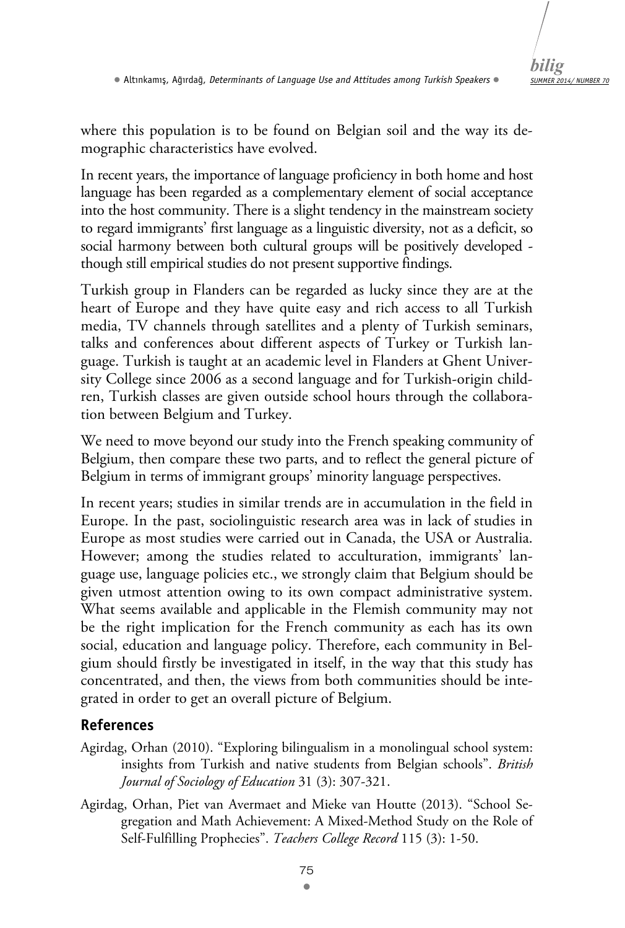

where this population is to be found on Belgian soil and the way its demographic characteristics have evolved.

In recent years, the importance of language proficiency in both home and host language has been regarded as a complementary element of social acceptance into the host community. There is a slight tendency in the mainstream society to regard immigrants' first language as a linguistic diversity, not as a deficit, so social harmony between both cultural groups will be positively developed though still empirical studies do not present supportive findings.

Turkish group in Flanders can be regarded as lucky since they are at the heart of Europe and they have quite easy and rich access to all Turkish media, TV channels through satellites and a plenty of Turkish seminars, talks and conferences about different aspects of Turkey or Turkish language. Turkish is taught at an academic level in Flanders at Ghent University College since 2006 as a second language and for Turkish-origin children, Turkish classes are given outside school hours through the collaboration between Belgium and Turkey.

We need to move beyond our study into the French speaking community of Belgium, then compare these two parts, and to reflect the general picture of Belgium in terms of immigrant groups' minority language perspectives.

In recent years; studies in similar trends are in accumulation in the field in Europe. In the past, sociolinguistic research area was in lack of studies in Europe as most studies were carried out in Canada, the USA or Australia. However; among the studies related to acculturation, immigrants' language use, language policies etc., we strongly claim that Belgium should be given utmost attention owing to its own compact administrative system. What seems available and applicable in the Flemish community may not be the right implication for the French community as each has its own social, education and language policy. Therefore, each community in Belgium should firstly be investigated in itself, in the way that this study has concentrated, and then, the views from both communities should be integrated in order to get an overall picture of Belgium.

## **References**

- Agirdag, Orhan (2010). "Exploring bilingualism in a monolingual school system: insights from Turkish and native students from Belgian schools". *British Journal of Sociology of Education* 31 (3): 307-321.
- Agirdag, Orhan, Piet van Avermaet and Mieke van Houtte (2013). "School Segregation and Math Achievement: A Mixed-Method Study on the Role of Self-Fulfilling Prophecies". *Teachers College Record* 115 (3): 1-50.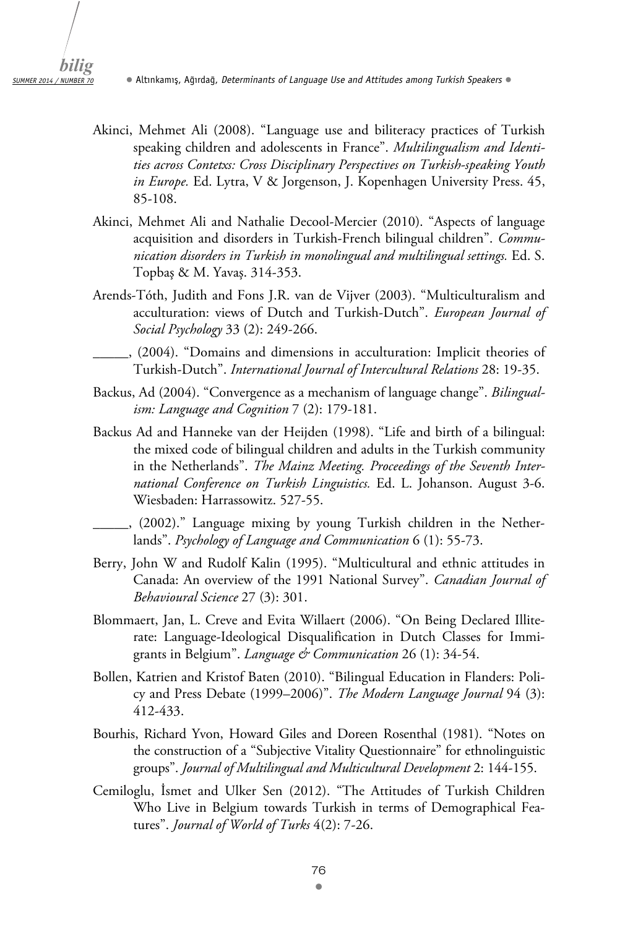- Akinci, Mehmet Ali (2008). "Language use and biliteracy practices of Turkish speaking children and adolescents in France". *Multilingualism and Identities across Contetxs: Cross Disciplinary Perspectives on Turkish-speaking Youth in Europe.* Ed. Lytra, V & Jorgenson, J. Kopenhagen University Press. 45, 85-108.
- Akinci, Mehmet Ali and Nathalie Decool-Mercier (2010). "Aspects of language acquisition and disorders in Turkish-French bilingual children". *Communication disorders in Turkish in monolingual and multilingual settings.* Ed. S. Topbaş & M. Yavaş. 314-353.
- Arends-Tóth, Judith and Fons J.R. van de Vijver (2003). "Multiculturalism and acculturation: views of Dutch and Turkish-Dutch". *European Journal of Social Psychology* 33 (2): 249-266.
	- \_\_\_\_\_, (2004). "Domains and dimensions in acculturation: Implicit theories of Turkish-Dutch". *International Journal of Intercultural Relations* 28: 19-35.
- Backus, Ad (2004). "Convergence as a mechanism of language change". *Bilingualism: Language and Cognition* 7 (2): 179-181.
- Backus Ad and Hanneke van der Heijden (1998). "Life and birth of a bilingual: the mixed code of bilingual children and adults in the Turkish community in the Netherlands". *The Mainz Meeting. Proceedings of the Seventh International Conference on Turkish Linguistics.* Ed. L. Johanson. August 3-6. Wiesbaden: Harrassowitz. 527-55.
- \_\_\_\_\_, (2002)." Language mixing by young Turkish children in the Netherlands". *Psychology of Language and Communication* 6 (1): 55-73.
- Berry, John W and Rudolf Kalin (1995). "Multicultural and ethnic attitudes in Canada: An overview of the 1991 National Survey". *Canadian Journal of Behavioural Science* 27 (3): 301.
- Blommaert, Jan, L. Creve and Evita Willaert (2006). "On Being Declared Illiterate: Language-Ideological Disqualification in Dutch Classes for Immigrants in Belgium". *Language & Communication* 26 (1): 34-54.
- Bollen, Katrien and Kristof Baten (2010). "Bilingual Education in Flanders: Policy and Press Debate (1999–2006)". *The Modern Language Journal* 94 (3): 412-433.
- Bourhis, Richard Yvon, Howard Giles and Doreen Rosenthal (1981). "Notes on the construction of a "Subjective Vitality Questionnaire" for ethnolinguistic groups". *Journal of Multilingual and Multicultural Development* 2: 144-155.
- Cemiloglu, İsmet and Ulker Sen (2012). "The Attitudes of Turkish Children Who Live in Belgium towards Turkish in terms of Demographical Features". *Journal of World of Turks* 4(2): 7-26.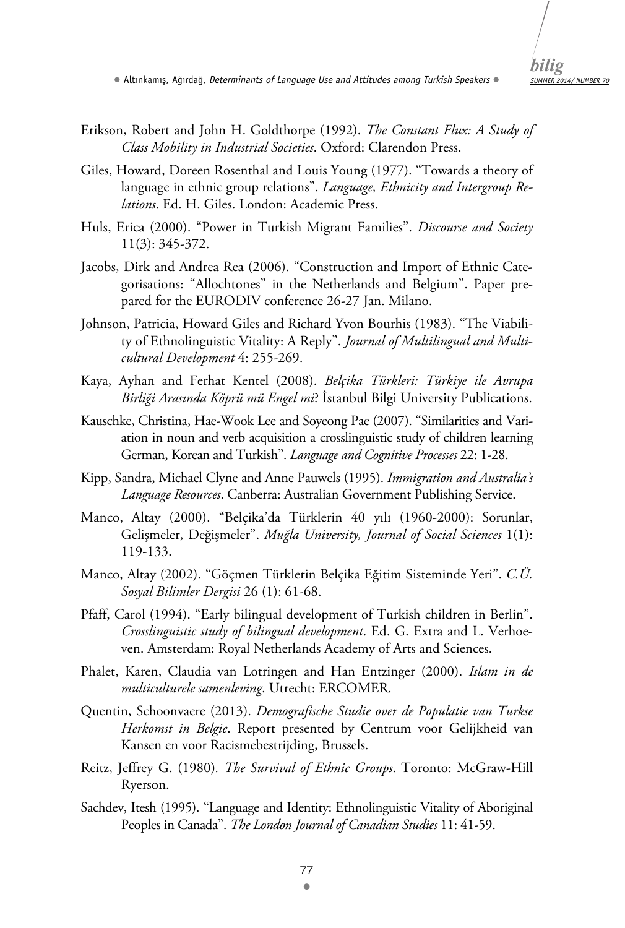

- Erikson, Robert and John H. Goldthorpe (1992). *The Constant Flux: A Study of Class Mobility in Industrial Societies*. Oxford: Clarendon Press.
- Giles, Howard, Doreen Rosenthal and Louis Young (1977). "Towards a theory of language in ethnic group relations". *Language, Ethnicity and Intergroup Relations*. Ed. H. Giles. London: Academic Press.
- Huls, Erica (2000). "Power in Turkish Migrant Families". *Discourse and Society* 11(3): 345-372.
- Jacobs, Dirk and Andrea Rea (2006). "Construction and Import of Ethnic Categorisations: "Allochtones" in the Netherlands and Belgium". Paper prepared for the EURODIV conference 26-27 Jan. Milano.
- Johnson, Patricia, Howard Giles and Richard Yvon Bourhis (1983). "The Viability of Ethnolinguistic Vitality: A Reply". *Journal of Multilingual and Multicultural Development* 4: 255-269.
- Kaya, Ayhan and Ferhat Kentel (2008). *Belçika Türkleri: Türkiye ile Avrupa Birliği Arasında Köprü mü Engel mi*? İstanbul Bilgi University Publications.
- Kauschke, Christina, Hae-Wook Lee and Soyeong Pae (2007). "Similarities and Variation in noun and verb acquisition a crosslinguistic study of children learning German, Korean and Turkish". *Language and Cognitive Processes* 22: 1-28.
- Kipp, Sandra, Michael Clyne and Anne Pauwels (1995). *Immigration and Australia's Language Resources*. Canberra: Australian Government Publishing Service.
- Manco, Altay (2000). "Belçika'da Türklerin 40 yılı (1960-2000): Sorunlar, Gelişmeler, Değişmeler". *Muğla University, Journal of Social Sciences* 1(1): 119-133.
- Manco, Altay (2002). "Göçmen Türklerin Belçika Eğitim Sisteminde Yeri". *C.Ü. Sosyal Bilimler Dergisi* 26 (1): 61-68.
- Pfaff, Carol (1994). "Early bilingual development of Turkish children in Berlin". *Crosslinguistic study of bilingual development*. Ed. G. Extra and L. Verhoeven. Amsterdam: Royal Netherlands Academy of Arts and Sciences.
- Phalet, Karen, Claudia van Lotringen and Han Entzinger (2000). *Islam in de multiculturele samenleving*. Utrecht: ERCOMER.
- Quentin, Schoonvaere (2013). *Demografische Studie over de Populatie van Turkse Herkomst in Belgie*. Report presented by Centrum voor Gelijkheid van Kansen en voor Racismebestrijding, Brussels.
- Reitz, Jeffrey G. (1980)*. The Survival of Ethnic Groups*. Toronto: McGraw-Hill Ryerson.
- Sachdev, Itesh (1995). "Language and Identity: Ethnolinguistic Vitality of Aboriginal Peoples in Canada". *The London Journal of Canadian Studies* 11: 41-59.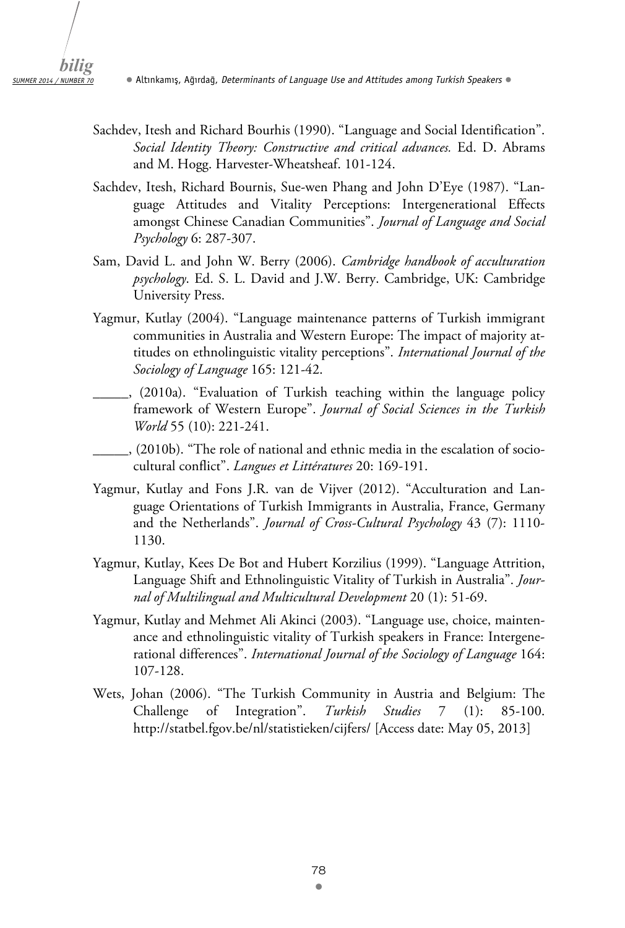- Sachdev, Itesh and Richard Bourhis (1990). "Language and Social Identification". *Social Identity Theory: Constructive and critical advances.* Ed. D. Abrams and M. Hogg. Harvester-Wheatsheaf. 101-124.
- Sachdev, Itesh, Richard Bournis, Sue-wen Phang and John D'Eye (1987). "Language Attitudes and Vitality Perceptions: Intergenerational Effects amongst Chinese Canadian Communities". *Journal of Language and Social Psychology* 6: 287-307.
- Sam, David L. and John W. Berry (2006). *Cambridge handbook of acculturation psychology*. Ed. S. L. David and J.W. Berry. Cambridge, UK: Cambridge University Press.
- Yagmur, Kutlay (2004). "Language maintenance patterns of Turkish immigrant communities in Australia and Western Europe: The impact of majority attitudes on ethnolinguistic vitality perceptions". *International Journal of the Sociology of Language* 165: 121-42.
	- \_\_\_\_\_, (2010a). "Evaluation of Turkish teaching within the language policy framework of Western Europe". *Journal of Social Sciences in the Turkish World* 55 (10): 221-241.
- \_\_\_\_\_, (2010b). "The role of national and ethnic media in the escalation of sociocultural conflict". *Langues et Littératures* 20: 169-191.
- Yagmur, Kutlay and Fons J.R. van de Vijver (2012). "Acculturation and Language Orientations of Turkish Immigrants in Australia, France, Germany and the Netherlands". *Journal of Cross-Cultural Psychology* 43 (7): 1110- 1130.
- Yagmur, Kutlay, Kees De Bot and Hubert Korzilius (1999). "Language Attrition, Language Shift and Ethnolinguistic Vitality of Turkish in Australia". *Journal of Multilingual and Multicultural Development* 20 (1): 51-69.
- Yagmur, Kutlay and Mehmet Ali Akinci (2003). "Language use, choice, maintenance and ethnolinguistic vitality of Turkish speakers in France: Intergenerational differences". *International Journal of the Sociology of Language* 164: 107-128.
- Wets, Johan (2006). "The Turkish Community in Austria and Belgium: The Challenge of Integration". *Turkish Studies* 7 (1): 85-100. http://statbel.fgov.be/nl/statistieken/cijfers/ [Access date: May 05, 2013]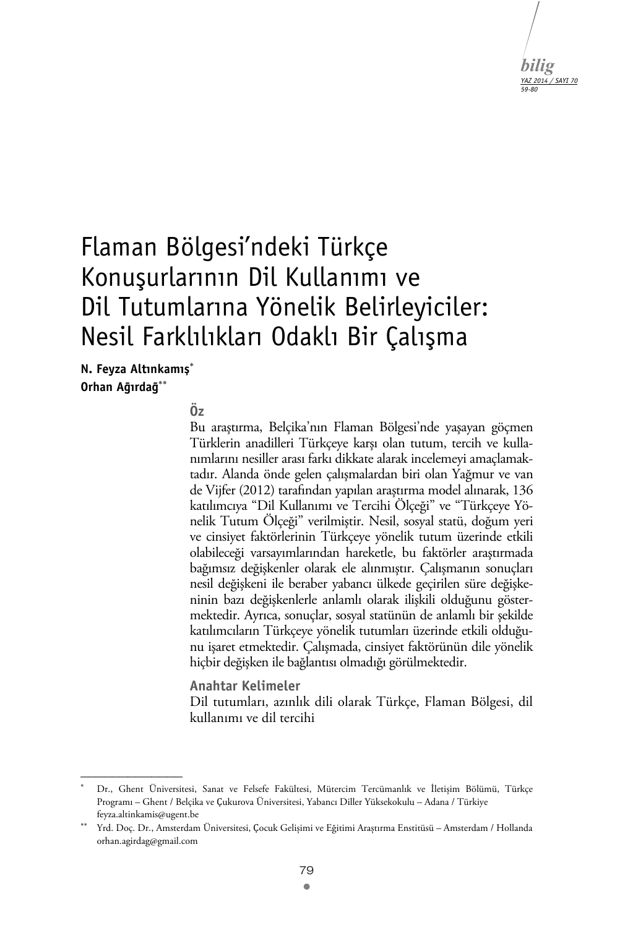

# Flaman Bölgesi'ndeki Türkçe Konuşurlarının Dil Kullanımı ve Dil Tutumlarına Yönelik Belirleyiciler: Nesil Farklılıkları Odaklı Bir Çalışma

**N. Feyza Altınkamış Orhan Ağırdağ**

 $\mathcal{L}_\text{max}$ 

## $\ddot{\mathbf{0}}$ z

Bu araştırma, Belçika'nın Flaman Bölgesi'nde yaşayan göçmen Türklerin anadilleri Türkçeye karşı olan tutum, tercih ve kullanımlarını nesiller arası farkı dikkate alarak incelemeyi amaçlamaktadır. Alanda önde gelen çalışmalardan biri olan Yağmur ve van de Vijfer (2012) tarafından yapılan araştırma model alınarak, 136 katılımcıya "Dil Kullanımı ve Tercihi Ölçeği" ve "Türkçeye Yönelik Tutum Ölçeği" verilmiştir. Nesil, sosyal statü, doğum yeri ve cinsiyet faktörlerinin Türkçeye yönelik tutum üzerinde etkili olabileceği varsayımlarından hareketle, bu faktörler araştırmada bağımsız değişkenler olarak ele alınmıştır. Çalışmanın sonuçları nesil değişkeni ile beraber yabancı ülkede geçirilen süre değişkeninin bazı değişkenlerle anlamlı olarak ilişkili olduğunu göstermektedir. Ayrıca, sonuçlar, sosyal statünün de anlamlı bir şekilde katılımcıların Türkçeye yönelik tutumları üzerinde etkili olduğunu işaret etmektedir. Çalışmada, cinsiyet faktörünün dile yönelik hiçbir değişken ile bağlantısı olmadığı görülmektedir.

**Anahtar Kelimeler**  Dil tutumları, azınlık dili olarak Türkçe, Flaman Bölgesi, dil kullanımı ve dil tercihi

<sup>.</sup>  Dr., Ghent Üniversitesi, Sanat ve Felsefe Fakültesi, Mütercim Tercümanlık ve İletișim Bölümü, Türkçe Programı – Ghent / Belçika ve Ҫukurova Üniversitesi, Yabancı Diller Yüksekokulu – Adana / Türkiye feyza.altinkamis@ugent.be

Yrd. Doç. Dr., Amsterdam Üniversitesi, Ҫocuk Gelișimi ve Eğitimi Araștırma Enstitüsü – Amsterdam / Hollanda orhan.agirdag@gmail.com